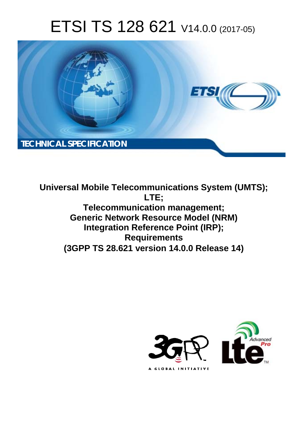# ETSI TS 128 621 V14.0.0 (2017-05)



**Universal Mobile Telecommunications System (UMTS); LTE; Telecommunication management; Generic Network Resource Model (NRM) Integration Reference Point (IRP); Requirements (3GPP TS 28.621 version 14.0.0 Release 14)** 

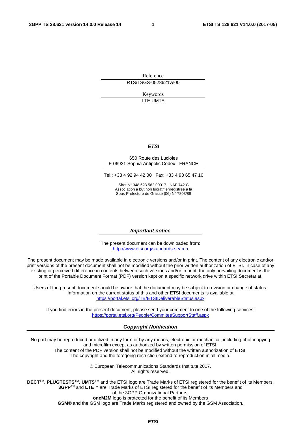Reference RTS/TSGS-0528621ve00

> Keywords LTE,UMTS

#### *ETSI*

#### 650 Route des Lucioles F-06921 Sophia Antipolis Cedex - FRANCE

Tel.: +33 4 92 94 42 00 Fax: +33 4 93 65 47 16

Siret N° 348 623 562 00017 - NAF 742 C Association à but non lucratif enregistrée à la Sous-Préfecture de Grasse (06) N° 7803/88

#### *Important notice*

The present document can be downloaded from: <http://www.etsi.org/standards-search>

The present document may be made available in electronic versions and/or in print. The content of any electronic and/or print versions of the present document shall not be modified without the prior written authorization of ETSI. In case of any existing or perceived difference in contents between such versions and/or in print, the only prevailing document is the print of the Portable Document Format (PDF) version kept on a specific network drive within ETSI Secretariat.

Users of the present document should be aware that the document may be subject to revision or change of status. Information on the current status of this and other ETSI documents is available at <https://portal.etsi.org/TB/ETSIDeliverableStatus.aspx>

If you find errors in the present document, please send your comment to one of the following services: <https://portal.etsi.org/People/CommiteeSupportStaff.aspx>

#### *Copyright Notification*

No part may be reproduced or utilized in any form or by any means, electronic or mechanical, including photocopying and microfilm except as authorized by written permission of ETSI.

The content of the PDF version shall not be modified without the written authorization of ETSI. The copyright and the foregoing restriction extend to reproduction in all media.

> © European Telecommunications Standards Institute 2017. All rights reserved.

**DECT**TM, **PLUGTESTS**TM, **UMTS**TM and the ETSI logo are Trade Marks of ETSI registered for the benefit of its Members. **3GPP**TM and **LTE**™ are Trade Marks of ETSI registered for the benefit of its Members and of the 3GPP Organizational Partners.

**oneM2M** logo is protected for the benefit of its Members

**GSM**® and the GSM logo are Trade Marks registered and owned by the GSM Association.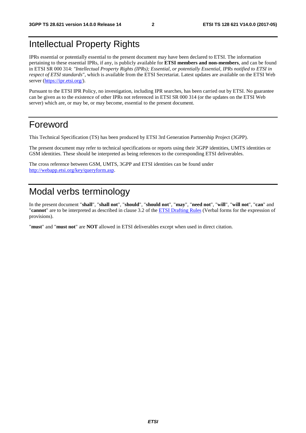# Intellectual Property Rights

IPRs essential or potentially essential to the present document may have been declared to ETSI. The information pertaining to these essential IPRs, if any, is publicly available for **ETSI members and non-members**, and can be found in ETSI SR 000 314: *"Intellectual Property Rights (IPRs); Essential, or potentially Essential, IPRs notified to ETSI in respect of ETSI standards"*, which is available from the ETSI Secretariat. Latest updates are available on the ETSI Web server ([https://ipr.etsi.org/\)](https://ipr.etsi.org/).

Pursuant to the ETSI IPR Policy, no investigation, including IPR searches, has been carried out by ETSI. No guarantee can be given as to the existence of other IPRs not referenced in ETSI SR 000 314 (or the updates on the ETSI Web server) which are, or may be, or may become, essential to the present document.

### Foreword

This Technical Specification (TS) has been produced by ETSI 3rd Generation Partnership Project (3GPP).

The present document may refer to technical specifications or reports using their 3GPP identities, UMTS identities or GSM identities. These should be interpreted as being references to the corresponding ETSI deliverables.

The cross reference between GSM, UMTS, 3GPP and ETSI identities can be found under [http://webapp.etsi.org/key/queryform.asp.](http://webapp.etsi.org/key/queryform.asp)

# Modal verbs terminology

In the present document "**shall**", "**shall not**", "**should**", "**should not**", "**may**", "**need not**", "**will**", "**will not**", "**can**" and "**cannot**" are to be interpreted as described in clause 3.2 of the [ETSI Drafting Rules](https://portal.etsi.org/Services/editHelp!/Howtostart/ETSIDraftingRules.aspx) (Verbal forms for the expression of provisions).

"**must**" and "**must not**" are **NOT** allowed in ETSI deliverables except when used in direct citation.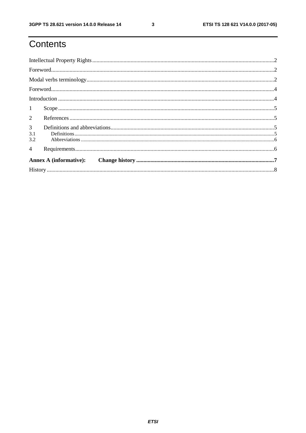# Contents

| 1                             |  |
|-------------------------------|--|
| $\overline{2}$                |  |
| 3 <sup>7</sup><br>3.1<br>3.2  |  |
| $\overline{4}$                |  |
| <b>Annex A (informative):</b> |  |
|                               |  |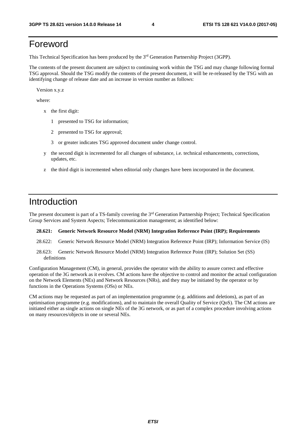# Foreword

This Technical Specification has been produced by the 3rd Generation Partnership Project (3GPP).

The contents of the present document are subject to continuing work within the TSG and may change following formal TSG approval. Should the TSG modify the contents of the present document, it will be re-released by the TSG with an identifying change of release date and an increase in version number as follows:

Version x.y.z

where:

- x the first digit:
	- 1 presented to TSG for information;
	- 2 presented to TSG for approval;
	- 3 or greater indicates TSG approved document under change control.
- y the second digit is incremented for all changes of substance, i.e. technical enhancements, corrections, updates, etc.
- z the third digit is incremented when editorial only changes have been incorporated in the document.

### Introduction

The present document is part of a TS-family covering the 3<sup>rd</sup> Generation Partnership Project; Technical Specification Group Services and System Aspects; Telecommunication management; as identified below:

#### **28.621: Generic Network Resource Model (NRM) Integration Reference Point (IRP); Requirements**

- 28.622: Generic Network Resource Model (NRM) Integration Reference Point (IRP); Information Service (IS)
- 28.623: Generic Network Resource Model (NRM) Integration Reference Point (IRP); Solution Set (SS) definitions

Configuration Management (CM), in general, provides the operator with the ability to assure correct and effective operation of the 3G network as it evolves. CM actions have the objective to control and monitor the actual configuration on the Network Elements (NEs) and Network Resources (NRs), and they may be initiated by the operator or by functions in the Operations Systems (OSs) or NEs.

CM actions may be requested as part of an implementation programme (e.g. additions and deletions), as part of an optimisation programme (e.g. modifications), and to maintain the overall Quality of Service (QoS). The CM actions are initiated either as single actions on single NEs of the 3G network, or as part of a complex procedure involving actions on many resources/objects in one or several NEs.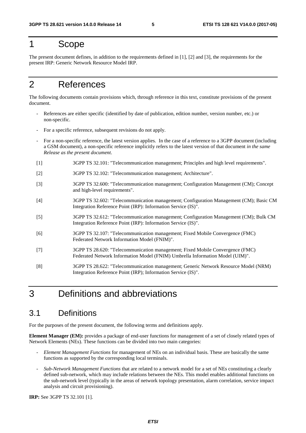# 1 Scope

The present document defines, in addition to the requirements defined in [1], [2] and [3], the requirements for the present IRP: Generic Network Resource Model IRP.

### 2 References

The following documents contain provisions which, through reference in this text, constitute provisions of the present document.

- References are either specific (identified by date of publication, edition number, version number, etc.) or non-specific.
- For a specific reference, subsequent revisions do not apply.
- For a non-specific reference, the latest version applies. In the case of a reference to a 3GPP document (including a GSM document), a non-specific reference implicitly refers to the latest version of that document *in the same Release as the present document*.
- [1] 3GPP TS 32.101: "Telecommunication management; Principles and high level requirements".
- [2] 3GPP TS 32.102: "Telecommunication management; Architecture".
- [3] 3GPP TS 32.600: "Telecommunication management; Configuration Management (CM); Concept and high-level requirements".
- [4] 3GPP TS 32.602: "Telecommunication management; Configuration Management (CM); Basic CM Integration Reference Point (IRP): Information Service (IS)".
- [5] 3GPP TS 32.612: "Telecommunication management; Configuration Management (CM); Bulk CM Integration Reference Point (IRP): Information Service (IS)".
- [6] 3GPP TS 32.107: "Telecommunication management; Fixed Mobile Convergence (FMC) Federated Network Information Model (FNIM)".
- [7] 3GPP TS 28.620: "Telecommunication management; Fixed Mobile Convergence (FMC) Federated Network Information Model (FNIM) Umbrella Information Model (UIM)".
- [8] 3GPP TS 28.622: "Telecommunication management; Generic Network Resource Model (NRM) Integration Reference Point (IRP); Information Service (IS)".

# 3 Definitions and abbreviations

### 3.1 Definitions

For the purposes of the present document, the following terms and definitions apply.

**Element Manager (EM):** provides a package of end-user functions for management of a set of closely related types of Network Elements (NEs). These functions can be divided into two main categories:

- *Element Management Functions* for management of NEs on an individual basis. These are basically the same functions as supported by the corresponding local terminals.
- *Sub-Network Management Functions* that are related to a network model for a set of NEs constituting a clearly defined sub-network, which may include relations between the NEs. This model enables additional functions on the sub-network level (typically in the areas of network topology presentation, alarm correlation, service impact analysis and circuit provisioning).

**IRP:** See 3GPP TS 32.101 [1].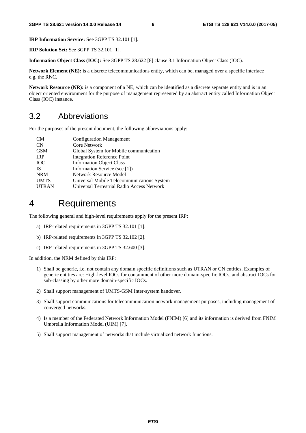**IRP Information Service:** See 3GPP TS 32.101 [1].

**IRP Solution Set:** See 3GPP TS 32.101 [1].

**Information Object Class (IOC):** See 3GPP TS 28.622 [8] clause 3.1 Information Object Class (IOC).

**Network Element (NE):** is a discrete telecommunications entity, which can be, managed over a specific interface e.g. the RNC.

**Network Resource (NR):** is a component of a NE, which can be identified as a discrete separate entity and is in an object oriented environment for the purpose of management represented by an abstract entity called Information Object Class (IOC) instance.

### 3.2 Abbreviations

For the purposes of the present document, the following abbreviations apply:

| <b>CM</b>    | <b>Configuration Management</b>            |
|--------------|--------------------------------------------|
| <b>CN</b>    | <b>Core Network</b>                        |
| <b>GSM</b>   | Global System for Mobile communication     |
| <b>IRP</b>   | <b>Integration Reference Point</b>         |
| <b>IOC</b>   | <b>Information Object Class</b>            |
| <b>IS</b>    | Information Service (see [1])              |
| <b>NRM</b>   | Network Resource Model                     |
| <b>UMTS</b>  | Universal Mobile Telecommunications System |
| <b>UTRAN</b> | Universal Terrestrial Radio Access Network |
|              |                                            |

# 4 Requirements

The following general and high-level requirements apply for the present IRP:

- a) IRP-related requirements in 3GPP TS 32.101 [1].
- b) IRP-related requirements in 3GPP TS 32.102 [2].
- c) IRP-related requirements in 3GPP TS 32.600 [3].

In addition, the NRM defined by this IRP:

- 1) Shall be generic, i.e. not contain any domain specific definitions such as UTRAN or CN entities. Examples of generic entities are: High-level IOCs for containment of other more domain-specific IOCs, and abstract IOCs for sub-classing by other more domain-specific IOCs.
- 2) Shall support management of UMTS-GSM Inter-system handover.
- 3) Shall support communications for telecommunication network management purposes, including management of converged networks.
- 4) Is a member of the Federated Network Information Model (FNIM) [6] and its information is derived from FNIM Umbrella Information Model (UIM) [7].
- 5) Shall support management of networks that include virtualized network functions.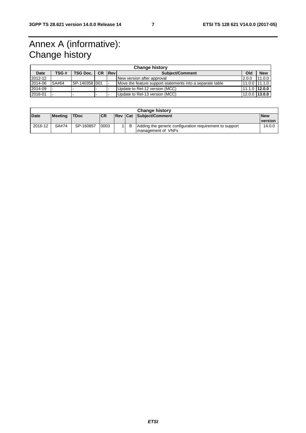# Annex A (informative): Change history

|         | <b>Change history</b> |                 |           |                                                           |                                |                   |            |  |
|---------|-----------------------|-----------------|-----------|-----------------------------------------------------------|--------------------------------|-------------------|------------|--|
| Date    | TSG #                 | <b>TSG Doc.</b> | <b>CR</b> | <b>Revi</b>                                               | Old<br><b>Subject/Comment</b>  |                   | <b>New</b> |  |
| 2012-12 |                       |                 |           | New version after approval                                |                                | 2.0.0             | 11.0.0     |  |
| 2014-06 | SA#64                 | SP-140358 001   |           | Move the feature support statements into a separate table |                                | 11.0.0 111.1.0    |            |  |
| 2014-09 |                       |                 |           | Update to Rel-12 version (MCC)                            |                                | $11.1.0$   12.0.0 |            |  |
| 2016-01 |                       |                 |           |                                                           | Update to Rel-13 version (MCC) | $12.0.0$   13.0.0 |            |  |

| <b>Change history</b> |                |             |            |            |  |                                                         |            |
|-----------------------|----------------|-------------|------------|------------|--|---------------------------------------------------------|------------|
| <b>Date</b>           | <b>Meeting</b> | <b>TDoc</b> | <b>ICR</b> | <b>Rev</b> |  | <b>Cat Subiect/Comment</b>                              | <b>New</b> |
|                       |                |             |            |            |  |                                                         | version    |
| 2016-12               | SA#74          | SP-160857   | 0003       |            |  | Adding the generic configuration requirement to support | 14.0.0     |
|                       |                |             |            |            |  | I management of VNFs                                    |            |